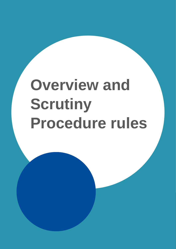# **Overview and Scrutiny Procedure rules**

And additional copy if necessary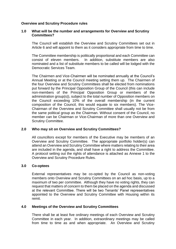## **Overview and Scrutiny Procedure rules**

## **1.0 What will be the number and arrangements for Overview and Scrutiny Committees?**

The Council will establish the Overview and Scrutiny Committees set out in Article 6 and will appoint to them as it considers appropriate from time to time.

The Committee membership is politically proportional and each Committee can consist of eleven members. In addition, substitute members are also nominated and a list of substitute members to be called will be lodged with the Democratic Services Team.

The Chairmen and Vice-Chairmen will be nominated annually at the Council's Annual Meeting or at the Council meeting setting them up. The Chairmen of the four Overview and Scrutiny Committees shall be elected from nominations put forward by the Principal Opposition Group of the Council (this can include non-members of the Principal Opposition Group or members of the administration group(s)), subject to the total number of Opposition members on the Council exceeding 10% of the overall membership (in the current composition of the Council, this would equate to six members). The Vice-Chairman of the Overview and Scrutiny Committee shall usually not be from the same political group as the Chairman. Without consent of the Council, no member can be Chairman or Vice-Chairman of more than one Overview and Scrutiny Committee.

## **2.0 Who may sit on Overview and Scrutiny Committees?**

All councillors except for members of the Executive may be members of an Overview and Scrutiny Committee. The appropriate portfolio holder(s) can attend an Overview and Scrutiny Committee where matters relating to their area are included in the agenda, and shall have a right to address the Committee. A protocol setting out the rights of attendance is attached as Annexe 1 to the Overview and Scrutiny Procedure Rules.

# **3.0 Co-optees**

External representatives may be co-opted by the Council as non-voting members onto Overview and Scrutiny Committees on an ad hoc basis, up to a maximum of two per committee. Although they have no voting rights, they can request that matters of concern to them be placed on the agenda and discussed at the relevant Committee. There will be two Tenants' Panel representatives appointed to the Overview and Scrutiny Committee with Housing within its remit.

# **4.0 Meetings of the Overview and Scrutiny Committees**

There shall be at least five ordinary meetings of each Overview and Scrutiny Committee in each year. In addition, extraordinary meetings may be called from time to time as and when appropriate. An Overview and Scrutiny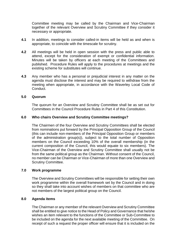Committee meeting may be called by the Chairman and Vice-Chairman together of the relevant Overview and Scrutiny Committee if they consider it necessary or appropriate.

- **4.1** In addition, meetings to consider called-in items will be held as and when is appropriate, to coincide with the timescale for scrutiny.
- **4.2** All meetings will be held in open session with the press and public able to attend, except for the consideration of exempt or confidential information. Minutes will be taken by officers at each meeting of the Committees and published. Procedure Rules will apply to the procedures at meetings and the existing scheme for substitutes will continue.
- **4.3** Any member who has a personal or prejudicial interest in any matter on the agenda must disclose the interest and may be required to withdraw from the meeting when appropriate, in accordance with the Waverley Local Code of Conduct.

#### **5.0 Quorum**

The quorum for an Overview and Scrutiny Committee shall be as set out for Committees in the Council Procedure Rules in Part 4 of this Constitution.

#### **6.0 Who chairs Overview and Scrutiny Committee meetings?**

The Chairmen of the four Overview and Scrutiny Committees shall be elected from nominations put forward by the Principal Opposition Group of the Council (this can include non-members of the Principal Opposition Group or members of the administration group(s)), subject to the total number of Opposition members on the Council exceeding 10% of the overall membership (in the current composition of the Council, this would equate to six members). The Vice-Chairman of the Overview and Scrutiny Committee shall usually not be from the same political group as the Chairman. Without consent of the Council, no member can be Chairman or Vice-Chairman of more than one Overview and Scrutiny Committee.

#### **7.0 Work programme**

The Overview and Scrutiny Committees will be responsible for setting their own work programme within the overall framework set by the Council and in doing so they shall take into account wishes of members on that committee who are not members of the largest political group on the Council.

# **8.0 Agenda items**

The Chairman or any member of the relevant Overview and Scrutiny Committee shall be entitled to give notice to the Head of Policy and Governance that he/she wishes an item relevant to the functions of the Committee or Sub-Committee to be included on the agenda for the next available meeting of the Committee. On receipt of such a request the proper officer will ensure that it is included on the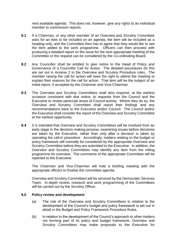next available agenda. This does not, however, give any rights to an individual member to commission reports.

- **8.1** If a Chairman, or any other member of an Overview and Scrutiny Committee asks for an item to be included on an agenda, the item will be included as a heading only, and the Committee then has to agree that they would like to see the item added to the work programme. Officers can then proceed with producing a detailed report on the issue for the next appropriate meeting of the Committee or the request can be considered by the Co-ordinating Board.
- **8.2** Any Councillor shall be entitled to give notice to the Head of Policy and Governance of a Councillor Call for Action. The detailed procedures for this are set out in Annexe 2 to the Overview and Scrutiny Procedure rules. The member raising the call for action will have the right to attend the meeting to explain their reasons for the call for action. That item will be the subject of an initial report, if accepted by the Chairman and Vice-Chairman
- **8.3** The Overview and Scrutiny Committees shall also respond, at the earliest occasion consistent with due notice, to requests from the Council and the Executive to review particular areas of Council activity. Where they do so, the Overview and Scrutiny Committee shall report their findings and any recommendations back to the Executive and/or Council. The Council and/or the Executive shall consider the report of the Overview and Scrutiny Committee at the earliest opportunity.
- **8.4** It is intended that Overview and Scrutiny Committees will be involved from an early stage in the decision-making process, examining issues before decisions are taken by the Executive, rather than only after a decision is taken by operating the call-in procedure. Accordingly, matters relating to the budget or policy framework will normally be considered by the appropriate Overview and Scrutiny Committee before they are submitted to the Executive. In addition, the Overview and Scrutiny Committees may identify any item from the rolling programme for overview. The comments of the appropriate Committee will be reported to the Executive.

The Chairmen and Vice-Chairmen will hold a briefing meeting with the appropriate officers to finalise the committee agenda.

Overview and Scrutiny Committees will be serviced by the Democratic Services Team. In-depth review, research and work programming of the Committees will be carried out by the Scrutiny Officer.

#### **9.0 Policy review and development**

- (a) The role of the Overview and Scrutiny Committees in relation to the development of the Council's budget and policy framework is set out in detail in the Budget and Policy Framework Procedure Rules.
- (b) In relation to the development of the Council's approach to other matters not forming part of its policy and budget framework, Overview and Scrutiny Committees may make proposals to the Executive for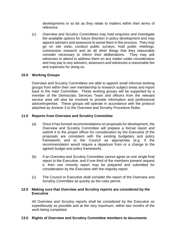developments in so far as they relate to matters within their terms of reference.

(c) Overview and Scrutiny Committees may hold enquiries and investigate the available options for future direction in policy development and may appoint advisers and assessors to assist them in this process. They may go on site visits, conduct public surveys, hold public meetings, commission research and do all other things that they reasonably consider necessary to inform their deliberations. They may ask witnesses to attend to address them on any matter under consideration and may pay to any advisers, assessors and witnesses a reasonable fee and expenses for doing so.

# **10.0 Working Groups**

Overview and Scrutiny Committees are able to appoint small informal working groups from within their own membership to research subject areas and report back to the main Committee. These working groups will be supported by a member of the Democratic Services Team and officers from the relevant service area will also be involved to provide information and professional advice/expertise. These groups will operate in accordance with the protocol attached as Annexe 3 to the Overview and Scrutiny Procedure Rules.

# **11.0 Reports from Overview and Scrutiny Committee**

- (a) Once it has formed recommendations on proposals for development, the Overview and Scrutiny Committee will prepare a formal report and submit it to the proper officer for consideration by the Executive (if the proposals are consistent with the existing budgetary and policy framework) and to the Council as appropriate (e.g. if the recommendation would require a departure from or a change to the agreed budget and policy framework).
- (b) If an Overview and Scrutiny Committee cannot agree on one single final report to the Executive, and if one third of the members present request it, then one minority report may be prepared and submitted for consideration by the Executive with the majority report.
- (c) The Council or Executive shall consider the report of the Overview and Scrutiny Committee as quickly as the rules permit.

## **12.0 Making sure that Overview and Scrutiny reports are considered by the Executive**

All Overview and Scrutiny reports shall be considered by the Executive as expeditiously as possible and at the very maximum, within two months of the work being completed.

## **13.0 Rights of Overview and Scrutiny Committee members to documents**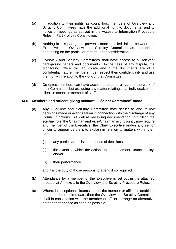- (a) In addition to their rights as councillors, members of Overview and Scrutiny Committees have the additional right to documents, and to notice of meetings as set out in the Access to Information Procedure Rules in Part 4 of this Constitution.
- (b) Nothing in this paragraph prevents more detailed liaison between the Executive and Overview and Scrutiny Committee as appropriate depending on the particular matter under consideration.
- (c) Overview and Scrutiny Committees shall have access to all relevant background papers and documents. In the case of any dispute, the Monitoring Officer will adjudicate and if the documents are of a confidential nature, members must respect their confidentiality and use them only in relation to the work of that Committee.
- (d) Co-opted members can have access to papers relevant to the work of their Committee, but excluding any matter relating to an individual, either client or tenant or member of staff.

#### **14.0 Members and officers giving account – "Select Committee" mode**

- (a) Any Overview and Scrutiny Committee may scrutinise and review decisions made or actions taken in connection with the discharge of any Council functions. As well as reviewing documentation, in fulfilling the scrutiny role, the Chairman and Vice-Chairman acting jointly may require any member of the Executive, the Chief Executive and/or any senior officer to appear before it to explain in relation to matters within their remit:
	- (i) any particular decision or series of decisions;
	- (ii) the extent to which the actions taken implement Council policy; and/or
	- (iii) their performance

and it is the duty of those persons to attend if so required.

- (b) Attendance by a member of the Executive is set out in the attached protocol at Annexe 1 to the Overview and Scrutiny Procedure Rules.
- (c) Where, in exceptional circumstances, the member or officer is unable to attend on the required date, then the Overview and Scrutiny Committee shall in consultation with the member or officer, arrange an alternative date for attendance as soon as possible.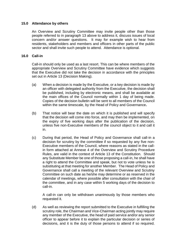## **15.0 Attendance by others**

An Overview and Scrutiny Committee may invite people other than those people referred to in paragraph 13 above to address it, discuss issues of local concern and/or answer questions. It may for example wish to hear from residents, stakeholders and members and officers in other parts of the public sector and shall invite such people to attend. Attendance is optional.

#### **16.0 Call-in**

Call-in should only be used as a last resort. This can be where members of the appropriate Overview and Scrutiny Committee have evidence which suggests that the Executive did not take the decision in accordance with the principles set out in Article 13 (Decision Making).

- (a) When a decision is made by the Executive, or a key decision is made by an officer with delegated authority from the Executive, the decision shall be published, including by electronic means, and shall be available at the main offices of the Council normally within 1 day of being made. Copies of the decision bulletin will be sent to all members of the Council within the same timescale, by the Head of Policy and Governance**.**
- (b) That notice will bear the date on which it is published and will specify that the decision will come into force, and may then be implemented, on the expiry of five working days after the publication of the decision, unless five non-Executive members of the council object to it and call it in.
- (c) During that period, the Head of Policy and Governance shall call-in a decision for scrutiny by the committee if so requested by any five non-Executive members of the Council, where reasons as stated in the callin form attached at Annexe 4 of the Overview and Scrutiny Procedure Rules, are valid in the context of Article 13 of the Constitution. Should any Substitute Member be one of those proposing a call-in, he shall have a right to attend the Committee and speak, but not to vote unless he is substituting at that meeting for another Member. The Head of Policy and Governance shall call a meeting of the relevant Overview and Scrutiny Committee on such date as he/she may determine or as reserved in the calendar of meetings, where possible after consultation with the chair of the committee, and in any case within 5 working days of the decision to call-in.

A call-in can only be withdrawn unanimously by those members who requested it.

(d) As well as reviewing the report submitted to the Executive in fulfilling the scrutiny role, the Chairman and Vice-Chairman acting jointly may require any member of the Executive, the head of paid service and/or any senior officer to appear before it to explain the particular decision or series of decisions, and it is the duty of those persons to attend if so required.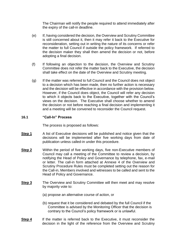The Chairman will notify the people required to attend immediately after the expiry of the call-in deadline.

- (e) If, having considered the decision, the Overview and Scrutiny Committee is still concerned about it, then it may refer it back to the Executive for reconsideration, setting out in writing the nature of its concerns or refer the matter to full Council if outside the policy framework. If referred to the decision maker they shall then amend the decision or not, before adopting a final decision.
- (f) If following an objection to the decision, the Overview and Scrutiny Committee does not refer the matter back to the Executive, the decision shall take effect on the date of the Overview and Scrutiny meeting.
- (g) If the matter was referred to full Council and the Council does not object to a decision which has been made, then no further action is necessary and the decision will be effective in accordance with the provision below. However, if the Council does object, the Council will refer any decision to which it objects back to the Executive, together with the Council's views on the decision. The Executive shall choose whether to amend the decision or not before reaching a final decision and implementing it and a meeting will be convened to reconsider the Council request.

## **16.1 "Call-In" Process**

The process is proposed as follows:

- **Step 1** A list of Executive decisions will be published and notice given that the decisions will be implemented after five working days from date of publication unless called-in under this procedure.
- **Step 2** Within the period of five working days, five non-Executive members of Council may call a meeting of the Committee to review a decision, by notifying the Head of Policy and Governance by telephone, fax, e-mail or letter. The call-in form attached at Annexe 4 of the Overview and Scrutiny Procedure Rules must be completed setting out the reason for the Call-in, Members involved and witnesses to be called and sent to the Head of Policy and Governance.
- **Step 3** The Overview and Scrutiny Committee will then meet and may resolve by majority vote to:
	- (a) propose an alternative course of action, or
	- (b) request that it be considered and debated by the full Council if the Committee is advised by the Monitoring Officer that the decision is contrary to the Council's policy framework or is unlawful.
- **Step 4** If the matter is referred back to the Executive, it must reconsider the decision in the light of the reference from the Overview and Scrutiny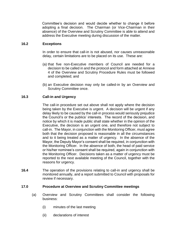Committee's decision and would decide whether to change it before adopting a final decision. The Chairman (or Vice-Chairman in their absence) of the Overview and Scrutiny Committee is able to attend and address the Executive meeting during discussion of the matter.

## **16.2 Exceptions**

In order to ensure that call-in is not abused, nor causes unreasonable delay, certain limitations are to be placed on its use. These are:

- (a) that five non-Executive members of Council are needed for a decision to be called in and the protocol and form attached at Annexe 4 of the Overview and Scrutiny Procedure Rules must be followed and completed; and
- (b) an Executive decision may only be called-in by an Overview and Scrutiny Committee once.

# **16.3 Call-in and Urgency**

The call-in procedure set out above shall not apply where the decision being taken by the Executive is urgent. A decision will be urgent if any delay likely to be caused by the call-in process would seriously prejudice the Council's or the publics' interests. The record of the decision, and notice by which it is made public shall state whether in the opinion of the Executive, the decision is an urgent one, and therefore not subject to call-in. The Mayor, in conjunction with the Monitoring Officer, must agree both that the decision proposed is reasonable in all the circumstances and to it being treated as a matter of urgency. In the absence of the Mayor, the Deputy Mayor's consent shall be required, in conjunction with the Monitoring Officer. In the absence of both, the head of paid service or his/her nominee's consent shall be required, again in conjunction with the Monitoring Officer. Decisions taken as a matter of urgency must be reported to the next available meeting of the Council, together with the reasons for urgency.

**16.4** The operation of the provisions relating to call-in and urgency shall be monitored annually, and a report submitted to Council with proposals for review if necessary.

## **17.0 Procedure at Overview and Scrutiny Committee meetings**

- (a) Overview and Scrutiny Committees shall consider the following business:
	- (i) minutes of the last meeting
	- (ii) declarations of interest